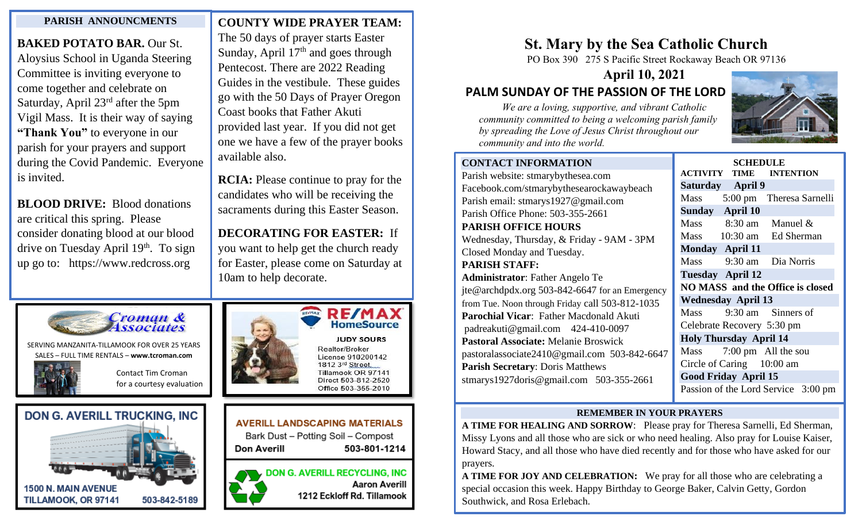## **PARISH ANNOUNCMENTS**

**BAKED POTATO BAR.** Our St. Aloysius School in Uganda Steering Committee is inviting everyone to come together and celebrate on Saturday, April 23rd after the 5pm Vigil Mass. It is their way of saying **"Thank You"** to everyone in our parish for your prayers and support during the Covid Pandemic. Everyone is invited.

drive on Tuesday April 19<sup>th</sup>. To sign **BLOOD DRIVE:** Blood donations are critical this spring. Please consider donating blood at our blood up go to: https://www.redcross.org

**COUNTY WIDE PRAYER TEAM:** 

 The 50 days of prayer starts Easter Sunday, April  $17<sup>th</sup>$  and goes through Pentecost. There are 2022 Reading Guides in the vestibule. These guides go with the 50 Days of Prayer Oregon Coast books that Father Akuti provided last year. If you did not get one we have a few of the prayer books available also.

**RCIA:** Please continue to pray for the candidates who will be receiving the sacraments during this Easter Season.

**DECORATING FOR EASTER:** If you want to help get the church ready for Easter, please come on Saturday at 10am to help decorate.



SERVING MANZANITA-TILLAMOOK FOR OVER 25 YEARS SALES – FULL TIME RENTALS – **[www.tcroman.com](http://www.tcroman.com/)**

> Contact Tim Croman for a courtesy evaluation

**503-812-2483**







# **AVERILL LANDSCAPING MATERIALS**

Bark Dust - Potting Soil - Compost Don Averill 503-801-1214

**DON G. AVERILL RECYCLING, INC Aaron Averill** 

1212 Eckloff Rd. Tillamook

## **St. Mary by the Sea Catholic Church**

PO Box 390 275 S Pacific Street Rockaway Beach OR 97136

**April 10, 2021**

## **PALM SUNDAY OF THE PASSION OF THE LORD**

 *We are a loving, supportive, and vibrant Catholic community committed to being a welcoming parish family by spreading the Love of Jesus Christ throughout our community and into the world.*



| <b>CONTACT INFORMATION</b>                      | <b>SCHEDULE</b>                                               |                            |                                     |
|-------------------------------------------------|---------------------------------------------------------------|----------------------------|-------------------------------------|
| Parish website: stmarybythesea.com              | <b>ACTIVITY</b>                                               | <b>TIME</b>                | <b>INTENTION</b>                    |
| Facebook.com/stmarybythesearockawaybeach        | <b>Saturday</b>                                               | <b>April 9</b>             |                                     |
| Parish email: stmarys1927@gmail.com             | Mass                                                          |                            | 5:00 pm Theresa Sarnelli            |
| Parish Office Phone: 503-355-2661               | <b>Sunday</b>                                                 | April 10                   |                                     |
| <b>PARISH OFFICE HOURS</b>                      |                                                               |                            | Mass $8:30 \text{ am}$ Manuel &     |
| Wednesday, Thursday, & Friday - 9AM - 3PM       | <b>Mass</b>                                                   |                            | 10:30 am Ed Sherman                 |
| Closed Monday and Tuesday.                      |                                                               | <b>Monday</b> April 11     |                                     |
| <b>PARISH STAFF:</b>                            | <b>Mass</b>                                                   |                            | 9:30 am Dia Norris                  |
| <b>Administrator:</b> Father Angelo Te          |                                                               | <b>Tuesday April 12</b>    |                                     |
| jte@archdpdx.org 503-842-6647 for an Emergency  | NO MASS and the Office is closed<br><b>Wednesday April 13</b> |                            |                                     |
| from Tue. Noon through Friday call 503-812-1035 |                                                               |                            |                                     |
| <b>Parochial Vicar:</b> Father Macdonald Akuti  | <b>Mass</b>                                                   |                            | 9:30 am Sinners of                  |
| padreakuti@gmail.com 424-410-0097               |                                                               | Celebrate Recovery 5:30 pm |                                     |
| <b>Pastoral Associate: Melanie Broswick</b>     | <b>Holy Thursday April 14</b>                                 |                            |                                     |
| pastoralassociate2410@gmail.com 503-842-6647    | <b>Mass</b>                                                   |                            | 7:00 pm All the sou                 |
| <b>Parish Secretary: Doris Matthews</b>         |                                                               | Circle of Caring 10:00 am  |                                     |
| stmarys1927doris@gmail.com $503-355-2661$       | <b>Good Friday April 15</b>                                   |                            |                                     |
|                                                 |                                                               |                            | Passion of the Lord Service 3:00 pm |

### **REMEMBER IN YOUR PRAYERS** l

**A TIME FOR HEALING AND SORROW**: Please pray for Theresa Sarnelli, Ed Sherman, Missy Lyons and all those who are sick or who need healing. Also pray for Louise Kaiser, Howard Stacy, and all those who have died recently and for those who have asked for our prayers.

**A TIME FOR JOY AND CELEBRATION:** We pray for all those who are celebrating a special occasion this week. Happy Birthday to George Baker, Calvin Getty, Gordon Southwick, and Rosa Erlebach.